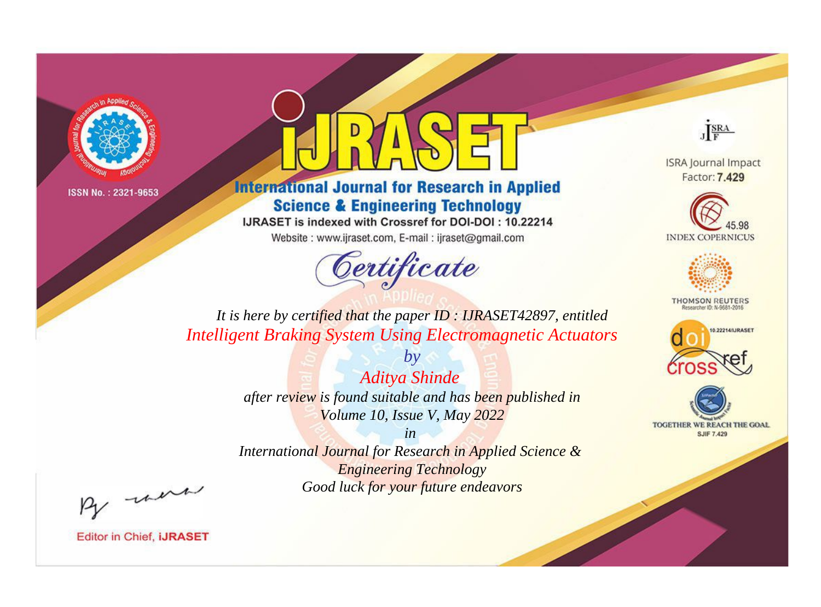



**International Journal for Research in Applied Science & Engineering Technology** 

IJRASET is indexed with Crossref for DOI-DOI: 10.22214

Website: www.ijraset.com, E-mail: ijraset@gmail.com



JERA

**ISRA Journal Impact** Factor: 7.429





**THOMSON REUTERS** 



TOGETHER WE REACH THE GOAL **SJIF 7.429** 

*It is here by certified that the paper ID : IJRASET42897, entitled Intelligent Braking System Using Electromagnetic Actuators*

> *by Aditya Shinde after review is found suitable and has been published in Volume 10, Issue V, May 2022*

> > *in*

*International Journal for Research in Applied Science & Engineering Technology Good luck for your future endeavors*

By morn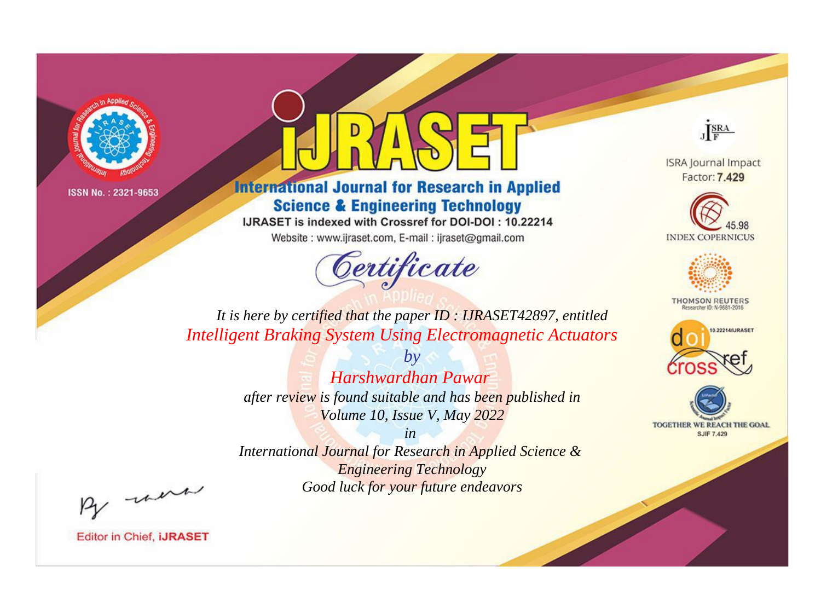

## **International Journal for Research in Applied Science & Engineering Technology**

IJRASET is indexed with Crossref for DOI-DOI: 10.22214

Website: www.ijraset.com, E-mail: ijraset@gmail.com

## Certificate



**ISRA Journal Impact** Factor: 7.429





**THOMSON REUTERS** 



TOGETHER WE REACH THE GOAL **SJIF 7.429** 

*It is here by certified that the paper ID : IJRASET42897, entitled Intelligent Braking System Using Electromagnetic Actuators*

> *by Harshwardhan Pawar after review is found suitable and has been published in Volume 10, Issue V, May 2022*

> > *in*

*International Journal for Research in Applied Science & Engineering Technology Good luck for your future endeavors*

By morn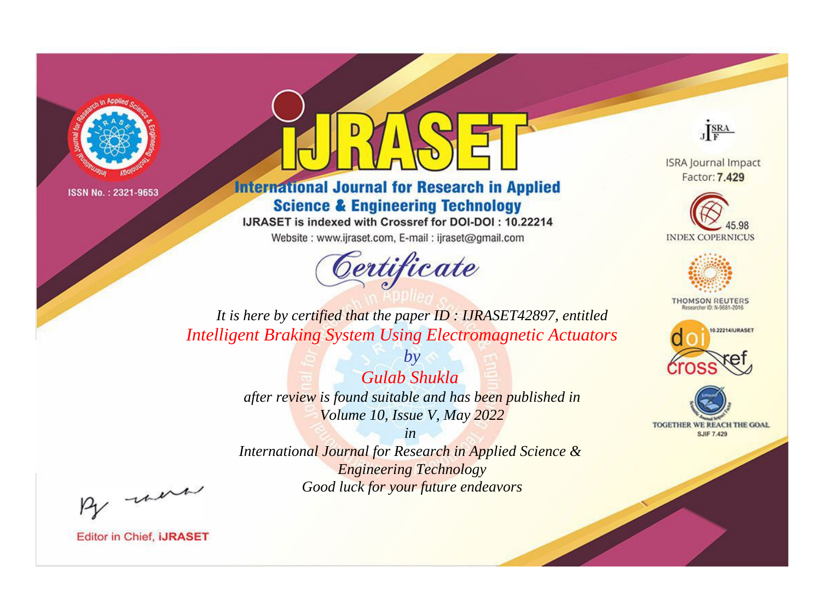



**International Journal for Research in Applied Science & Engineering Technology** 

IJRASET is indexed with Crossref for DOI-DOI: 10.22214

Website: www.ijraset.com, E-mail: ijraset@gmail.com



JERA

**ISRA Journal Impact** Factor: 7.429





**THOMSON REUTERS** 



TOGETHER WE REACH THE GOAL **SJIF 7.429** 

*It is here by certified that the paper ID : IJRASET42897, entitled Intelligent Braking System Using Electromagnetic Actuators*

> *by Gulab Shukla after review is found suitable and has been published in Volume 10, Issue V, May 2022*

> > *in*

*International Journal for Research in Applied Science & Engineering Technology Good luck for your future endeavors*

By morn